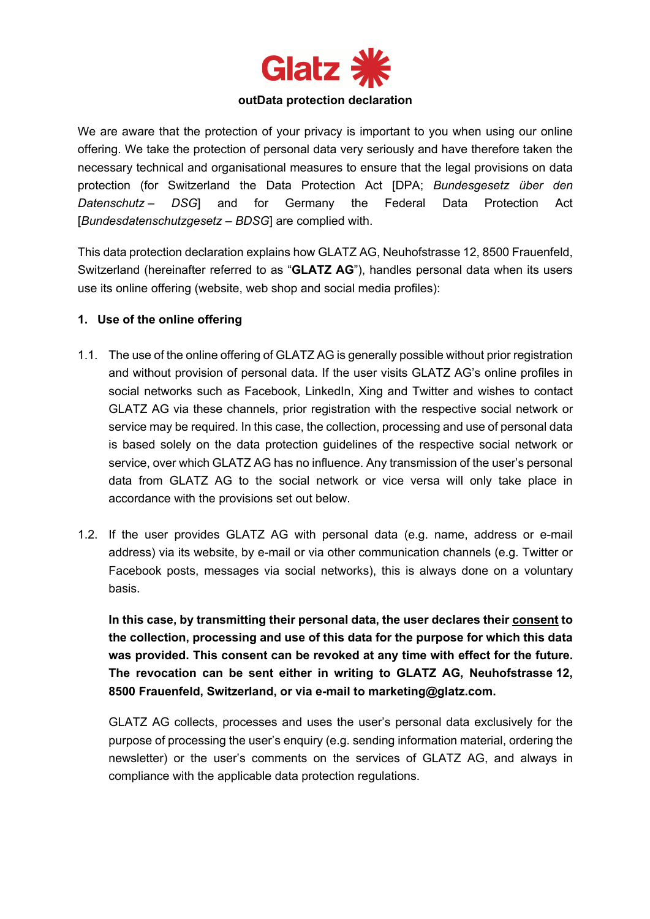

#### **outData protection declaration**

We are aware that the protection of your privacy is important to you when using our online offering. We take the protection of personal data very seriously and have therefore taken the necessary technical and organisational measures to ensure that the legal provisions on data protection (for Switzerland the Data Protection Act [DPA; *Bundesgesetz über den Datenschutz – DSG*] and for Germany the Federal Data Protection Act [*Bundesdatenschutzgesetz – BDSG*] are complied with.

This data protection declaration explains how GLATZ AG, Neuhofstrasse 12, 8500 Frauenfeld, Switzerland (hereinafter referred to as "**GLATZ AG**"), handles personal data when its users use its online offering (website, web shop and social media profiles):

#### **1. Use of the online offering**

- 1.1. The use of the online offering of GLATZ AG is generally possible without prior registration and without provision of personal data. If the user visits GLATZ AG's online profiles in social networks such as Facebook, LinkedIn, Xing and Twitter and wishes to contact GLATZ AG via these channels, prior registration with the respective social network or service may be required. In this case, the collection, processing and use of personal data is based solely on the data protection guidelines of the respective social network or service, over which GLATZ AG has no influence. Any transmission of the user's personal data from GLATZ AG to the social network or vice versa will only take place in accordance with the provisions set out below.
- 1.2. If the user provides GLATZ AG with personal data (e.g. name, address or e-mail address) via its website, by e-mail or via other communication channels (e.g. Twitter or Facebook posts, messages via social networks), this is always done on a voluntary basis.

**In this case, by transmitting their personal data, the user declares their consent to the collection, processing and use of this data for the purpose for which this data was provided. This consent can be revoked at any time with effect for the future. The revocation can be sent either in writing to GLATZ AG, Neuhofstrasse 12, 8500 Frauenfeld, Switzerland, or via e-mail to marketing@glatz.com.**

GLATZ AG collects, processes and uses the user's personal data exclusively for the purpose of processing the user's enquiry (e.g. sending information material, ordering the newsletter) or the user's comments on the services of GLATZ AG, and always in compliance with the applicable data protection regulations.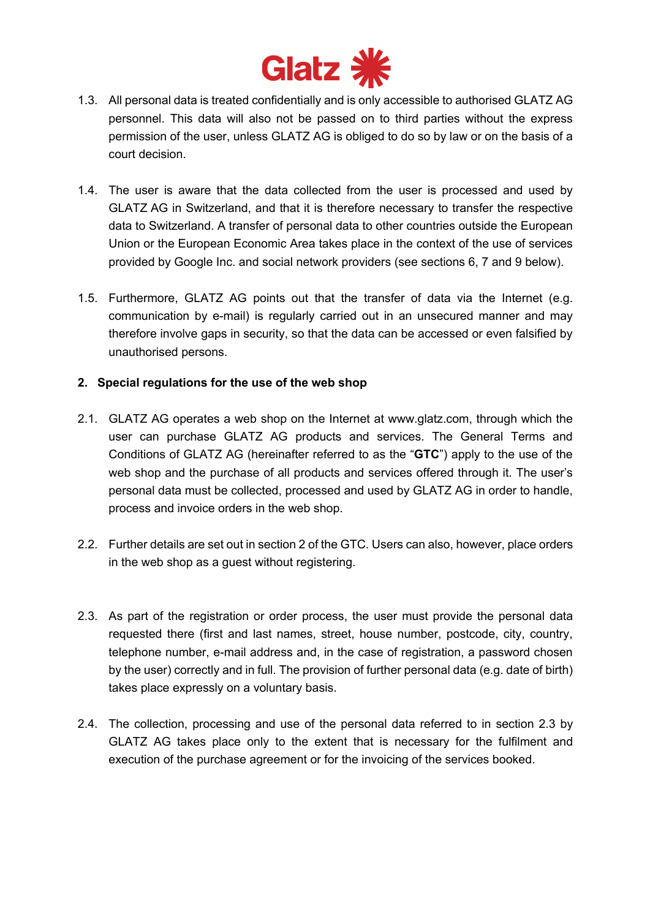

- 1.3. All personal data is treated confidentially and is only accessible to authorised GLATZ AG personnel. This data will also not be passed on to third parties without the express permission of the user, unless GLATZ AG is obliged to do so by law or on the basis of a court decision.
- 1.4. The user is aware that the data collected from the user is processed and used by GLATZ AG in Switzerland, and that it is therefore necessary to transfer the respective data to Switzerland. A transfer of personal data to other countries outside the European Union or the European Economic Area takes place in the context of the use of services provided by Google Inc. and social network providers (see sections 6, 7 and 9 below).
- 1.5. Furthermore, GLATZ AG points out that the transfer of data via the Internet (e.g. communication by e-mail) is regularly carried out in an unsecured manner and may therefore involve gaps in security, so that the data can be accessed or even falsified by unauthorised persons.

# **2. Special regulations for the use of the web shop**

- 2.1. GLATZ AG operates a web shop on the Internet at www.glatz.com, through which the user can purchase GLATZ AG products and services. The General Terms and Conditions of GLATZ AG (hereinafter referred to as the "**GTC**") apply to the use of the web shop and the purchase of all products and services offered through it. The user's personal data must be collected, processed and used by GLATZ AG in order to handle, process and invoice orders in the web shop.
- 2.2. Further details are set out in section 2 of the GTC. Users can also, however, place orders in the web shop as a guest without registering.
- 2.3. As part of the registration or order process, the user must provide the personal data requested there (first and last names, street, house number, postcode, city, country, telephone number, e-mail address and, in the case of registration, a password chosen by the user) correctly and in full. The provision of further personal data (e.g. date of birth) takes place expressly on a voluntary basis.
- 2.4. The collection, processing and use of the personal data referred to in section 2.3 by GLATZ AG takes place only to the extent that is necessary for the fulfilment and execution of the purchase agreement or for the invoicing of the services booked.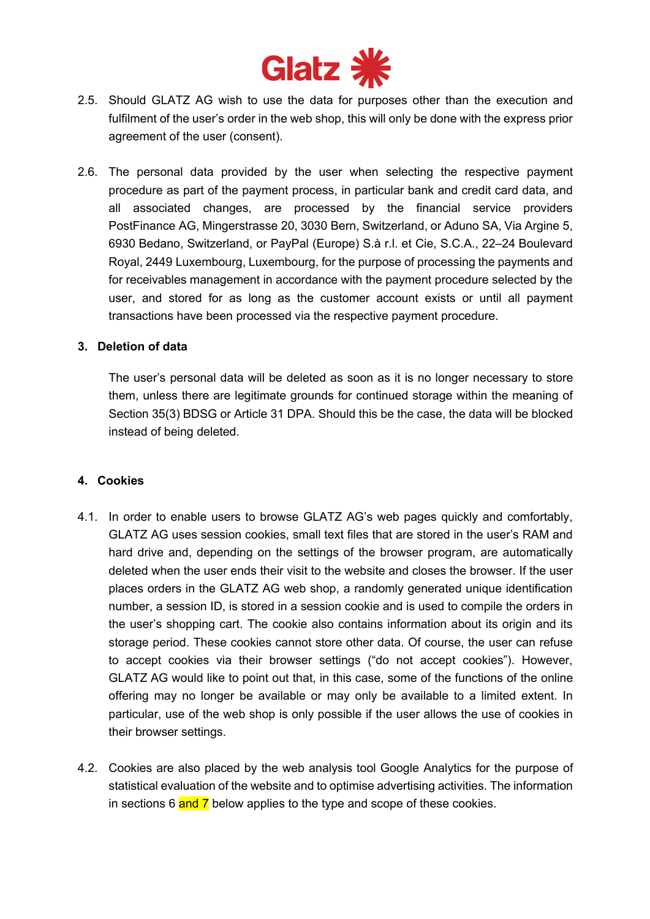

- 2.5. Should GLATZ AG wish to use the data for purposes other than the execution and fulfilment of the user's order in the web shop, this will only be done with the express prior agreement of the user (consent).
- 2.6. The personal data provided by the user when selecting the respective payment procedure as part of the payment process, in particular bank and credit card data, and all associated changes, are processed by the financial service providers PostFinance AG, Mingerstrasse 20, 3030 Bern, Switzerland, or Aduno SA, Via Argine 5, 6930 Bedano, Switzerland, or PayPal (Europe) S.à r.l. et Cie, S.C.A., 22–24 Boulevard Royal, 2449 Luxembourg, Luxembourg, for the purpose of processing the payments and for receivables management in accordance with the payment procedure selected by the user, and stored for as long as the customer account exists or until all payment transactions have been processed via the respective payment procedure.

#### **3. Deletion of data**

The user's personal data will be deleted as soon as it is no longer necessary to store them, unless there are legitimate grounds for continued storage within the meaning of Section 35(3) BDSG or Article 31 DPA. Should this be the case, the data will be blocked instead of being deleted.

#### **4. Cookies**

- 4.1. In order to enable users to browse GLATZ AG's web pages quickly and comfortably, GLATZ AG uses session cookies, small text files that are stored in the user's RAM and hard drive and, depending on the settings of the browser program, are automatically deleted when the user ends their visit to the website and closes the browser. If the user places orders in the GLATZ AG web shop, a randomly generated unique identification number, a session ID, is stored in a session cookie and is used to compile the orders in the user's shopping cart. The cookie also contains information about its origin and its storage period. These cookies cannot store other data. Of course, the user can refuse to accept cookies via their browser settings ("do not accept cookies"). However, GLATZ AG would like to point out that, in this case, some of the functions of the online offering may no longer be available or may only be available to a limited extent. In particular, use of the web shop is only possible if the user allows the use of cookies in their browser settings.
- 4.2. Cookies are also placed by the web analysis tool Google Analytics for the purpose of statistical evaluation of the website and to optimise advertising activities. The information in sections  $6$  and  $\overline{7}$  below applies to the type and scope of these cookies.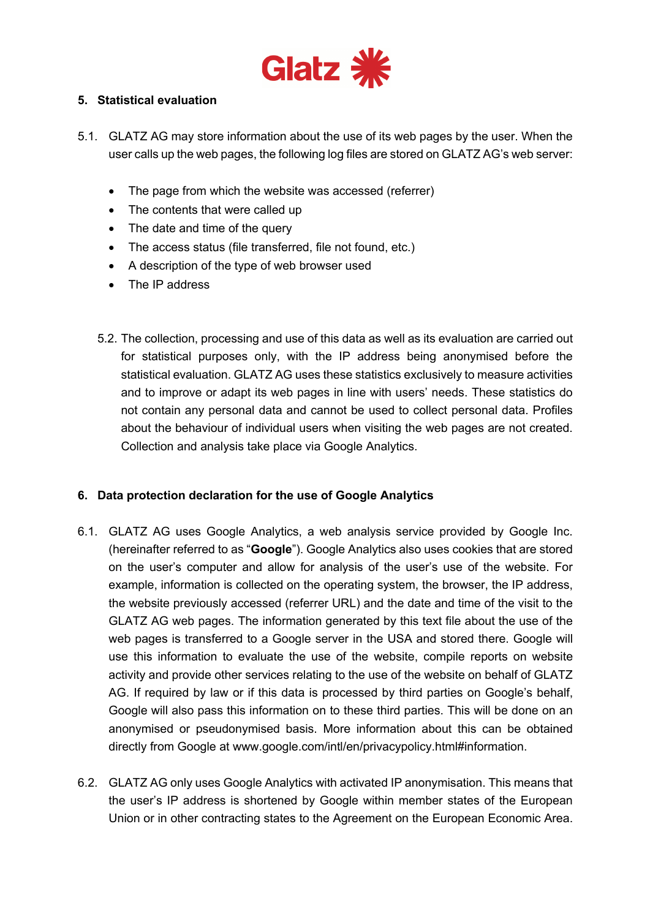

### **5. Statistical evaluation**

- 5.1. GLATZ AG may store information about the use of its web pages by the user. When the user calls up the web pages, the following log files are stored on GLATZ AG's web server:
	- The page from which the website was accessed (referrer)
	- The contents that were called up
	- The date and time of the query
	- The access status (file transferred, file not found, etc.)
	- A description of the type of web browser used
	- The IP address
	- 5.2. The collection, processing and use of this data as well as its evaluation are carried out for statistical purposes only, with the IP address being anonymised before the statistical evaluation. GLATZ AG uses these statistics exclusively to measure activities and to improve or adapt its web pages in line with users' needs. These statistics do not contain any personal data and cannot be used to collect personal data. Profiles about the behaviour of individual users when visiting the web pages are not created. Collection and analysis take place via Google Analytics.

#### **6. Data protection declaration for the use of Google Analytics**

- 6.1. GLATZ AG uses Google Analytics, a web analysis service provided by Google Inc. (hereinafter referred to as "**Google**"). Google Analytics also uses cookies that are stored on the user's computer and allow for analysis of the user's use of the website. For example, information is collected on the operating system, the browser, the IP address, the website previously accessed (referrer URL) and the date and time of the visit to the GLATZ AG web pages. The information generated by this text file about the use of the web pages is transferred to a Google server in the USA and stored there. Google will use this information to evaluate the use of the website, compile reports on website activity and provide other services relating to the use of the website on behalf of GLATZ AG. If required by law or if this data is processed by third parties on Google's behalf, Google will also pass this information on to these third parties. This will be done on an anonymised or pseudonymised basis. More information about this can be obtained directly from Google at www.google.com/intl/en/privacypolicy.html#information.
- 6.2. GLATZ AG only uses Google Analytics with activated IP anonymisation. This means that the user's IP address is shortened by Google within member states of the European Union or in other contracting states to the Agreement on the European Economic Area.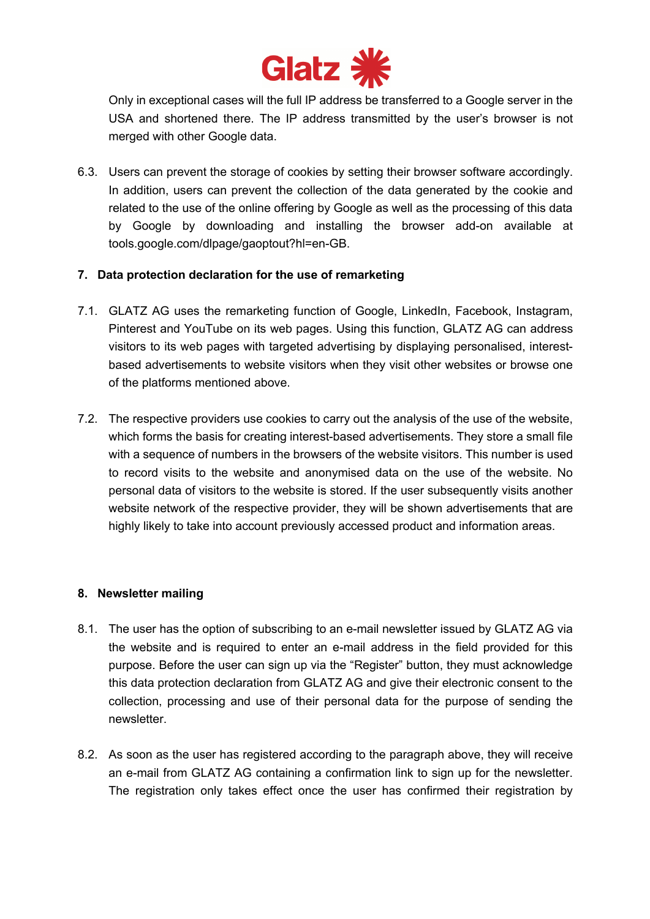

Only in exceptional cases will the full IP address be transferred to a Google server in the USA and shortened there. The IP address transmitted by the user's browser is not merged with other Google data.

6.3. Users can prevent the storage of cookies by setting their browser software accordingly. In addition, users can prevent the collection of the data generated by the cookie and related to the use of the online offering by Google as well as the processing of this data by Google by downloading and installing the browser add-on available at tools.google.com/dlpage/gaoptout?hl=en-GB.

#### **7. Data protection declaration for the use of remarketing**

- 7.1. GLATZ AG uses the remarketing function of Google, LinkedIn, Facebook, Instagram, Pinterest and YouTube on its web pages. Using this function, GLATZ AG can address visitors to its web pages with targeted advertising by displaying personalised, interestbased advertisements to website visitors when they visit other websites or browse one of the platforms mentioned above.
- 7.2. The respective providers use cookies to carry out the analysis of the use of the website, which forms the basis for creating interest-based advertisements. They store a small file with a sequence of numbers in the browsers of the website visitors. This number is used to record visits to the website and anonymised data on the use of the website. No personal data of visitors to the website is stored. If the user subsequently visits another website network of the respective provider, they will be shown advertisements that are highly likely to take into account previously accessed product and information areas.

#### **8. Newsletter mailing**

- 8.1. The user has the option of subscribing to an e-mail newsletter issued by GLATZ AG via the website and is required to enter an e-mail address in the field provided for this purpose. Before the user can sign up via the "Register" button, they must acknowledge this data protection declaration from GLATZ AG and give their electronic consent to the collection, processing and use of their personal data for the purpose of sending the newsletter.
- 8.2. As soon as the user has registered according to the paragraph above, they will receive an e-mail from GLATZ AG containing a confirmation link to sign up for the newsletter. The registration only takes effect once the user has confirmed their registration by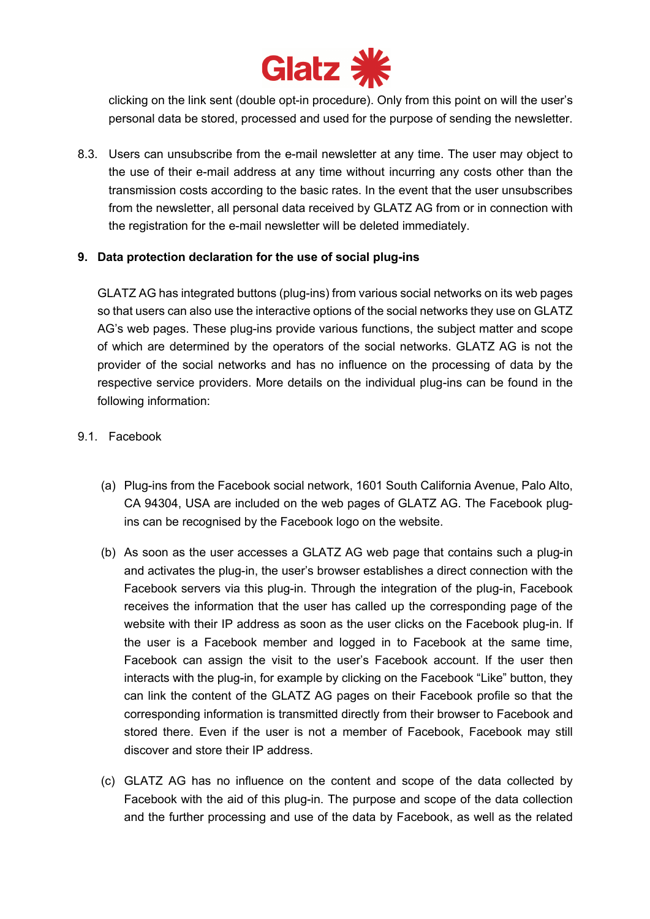

clicking on the link sent (double opt-in procedure). Only from this point on will the user's personal data be stored, processed and used for the purpose of sending the newsletter.

8.3. Users can unsubscribe from the e-mail newsletter at any time. The user may object to the use of their e-mail address at any time without incurring any costs other than the transmission costs according to the basic rates. In the event that the user unsubscribes from the newsletter, all personal data received by GLATZ AG from or in connection with the registration for the e-mail newsletter will be deleted immediately.

#### **9. Data protection declaration for the use of social plug-ins**

GLATZ AG has integrated buttons (plug-ins) from various social networks on its web pages so that users can also use the interactive options of the social networks they use on GLATZ AG's web pages. These plug-ins provide various functions, the subject matter and scope of which are determined by the operators of the social networks. GLATZ AG is not the provider of the social networks and has no influence on the processing of data by the respective service providers. More details on the individual plug-ins can be found in the following information:

# 9.1. Facebook

- (a) Plug-ins from the Facebook social network, 1601 South California Avenue, Palo Alto, CA 94304, USA are included on the web pages of GLATZ AG. The Facebook plugins can be recognised by the Facebook logo on the website.
- (b) As soon as the user accesses a GLATZ AG web page that contains such a plug-in and activates the plug-in, the user's browser establishes a direct connection with the Facebook servers via this plug-in. Through the integration of the plug-in, Facebook receives the information that the user has called up the corresponding page of the website with their IP address as soon as the user clicks on the Facebook plug-in. If the user is a Facebook member and logged in to Facebook at the same time, Facebook can assign the visit to the user's Facebook account. If the user then interacts with the plug-in, for example by clicking on the Facebook "Like" button, they can link the content of the GLATZ AG pages on their Facebook profile so that the corresponding information is transmitted directly from their browser to Facebook and stored there. Even if the user is not a member of Facebook, Facebook may still discover and store their IP address.
- (c) GLATZ AG has no influence on the content and scope of the data collected by Facebook with the aid of this plug-in. The purpose and scope of the data collection and the further processing and use of the data by Facebook, as well as the related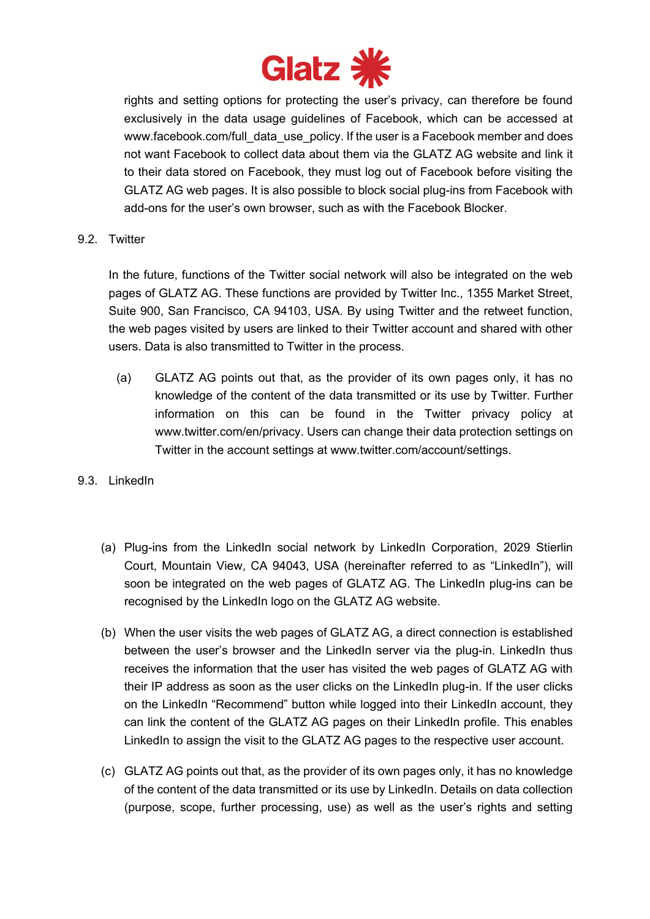

rights and setting options for protecting the user's privacy, can therefore be found exclusively in the data usage guidelines of Facebook, which can be accessed at www.facebook.com/full\_data\_use\_policy. If the user is a Facebook member and does not want Facebook to collect data about them via the GLATZ AG website and link it to their data stored on Facebook, they must log out of Facebook before visiting the GLATZ AG web pages. It is also possible to block social plug-ins from Facebook with add-ons for the user's own browser, such as with the Facebook Blocker.

9.2 Twitter

In the future, functions of the Twitter social network will also be integrated on the web pages of GLATZ AG. These functions are provided by Twitter Inc., 1355 Market Street, Suite 900, San Francisco, CA 94103, USA. By using Twitter and the retweet function, the web pages visited by users are linked to their Twitter account and shared with other users. Data is also transmitted to Twitter in the process.

- (a) GLATZ AG points out that, as the provider of its own pages only, it has no knowledge of the content of the data transmitted or its use by Twitter. Further information on this can be found in the Twitter privacy policy at www.twitter.com/en/privacy. Users can change their data protection settings on Twitter in the account settings at www.twitter.com/account/settings.
- 9.3. LinkedIn
	- (a) Plug-ins from the LinkedIn social network by LinkedIn Corporation, 2029 Stierlin Court, Mountain View, CA 94043, USA (hereinafter referred to as "LinkedIn"), will soon be integrated on the web pages of GLATZ AG. The LinkedIn plug-ins can be recognised by the LinkedIn logo on the GLATZ AG website.
	- (b) When the user visits the web pages of GLATZ AG, a direct connection is established between the user's browser and the LinkedIn server via the plug-in. LinkedIn thus receives the information that the user has visited the web pages of GLATZ AG with their IP address as soon as the user clicks on the LinkedIn plug-in. If the user clicks on the LinkedIn "Recommend" button while logged into their LinkedIn account, they can link the content of the GLATZ AG pages on their LinkedIn profile. This enables LinkedIn to assign the visit to the GLATZ AG pages to the respective user account.
	- (c) GLATZ AG points out that, as the provider of its own pages only, it has no knowledge of the content of the data transmitted or its use by LinkedIn. Details on data collection (purpose, scope, further processing, use) as well as the user's rights and setting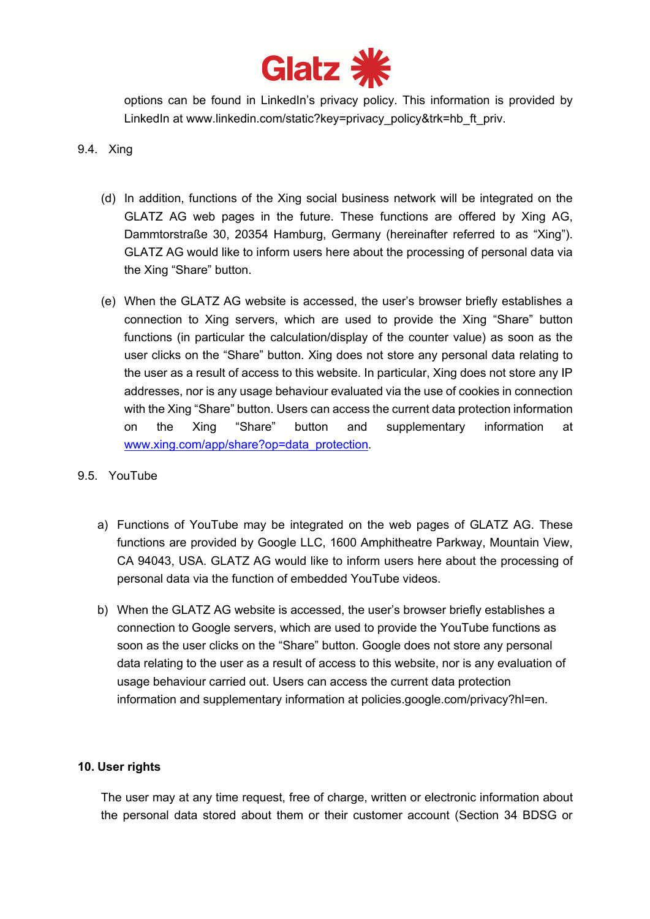

options can be found in LinkedIn's privacy policy. This information is provided by LinkedIn at www.linkedin.com/static?key=privacy\_policy&trk=hb\_ft\_priv.

### 9.4. Xing

- (d) In addition, functions of the Xing social business network will be integrated on the GLATZ AG web pages in the future. These functions are offered by Xing AG, Dammtorstraße 30, 20354 Hamburg, Germany (hereinafter referred to as "Xing"). GLATZ AG would like to inform users here about the processing of personal data via the Xing "Share" button.
- (e) When the GLATZ AG website is accessed, the user's browser briefly establishes a connection to Xing servers, which are used to provide the Xing "Share" button functions (in particular the calculation/display of the counter value) as soon as the user clicks on the "Share" button. Xing does not store any personal data relating to the user as a result of access to this website. In particular, Xing does not store any IP addresses, nor is any usage behaviour evaluated via the use of cookies in connection with the Xing "Share" button. Users can access the current data protection information on the Xing "Share" button and supplementary information at www.xing.com/app/share?op=data\_protection.
- 9.5. YouTube
	- a) Functions of YouTube may be integrated on the web pages of GLATZ AG. These functions are provided by Google LLC, 1600 Amphitheatre Parkway, Mountain View, CA 94043, USA. GLATZ AG would like to inform users here about the processing of personal data via the function of embedded YouTube videos.
	- b) When the GLATZ AG website is accessed, the user's browser briefly establishes a connection to Google servers, which are used to provide the YouTube functions as soon as the user clicks on the "Share" button. Google does not store any personal data relating to the user as a result of access to this website, nor is any evaluation of usage behaviour carried out. Users can access the current data protection information and supplementary information at policies.google.com/privacy?hl=en.

#### **10. User rights**

The user may at any time request, free of charge, written or electronic information about the personal data stored about them or their customer account (Section 34 BDSG or